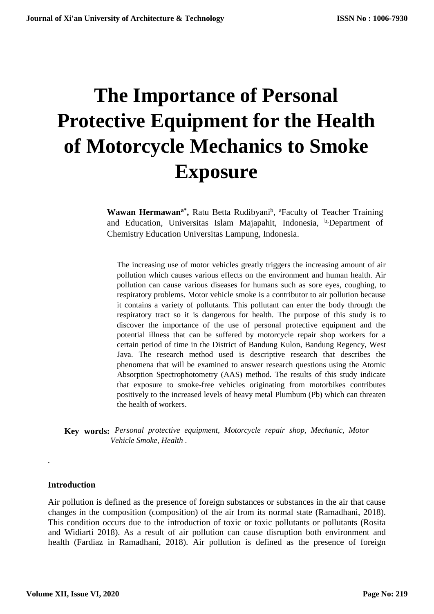# **The Importance of Personal Protective Equipment for the Health of Motorcycle Mechanics to Smoke Exposure**

Wawan Hermawan<sup>a\*</sup>, Ratu Betta Rudibyani<sup>b</sup>, <sup>a</sup>Faculty of Teacher Training and Education, Universitas Islam Majapahit, Indonesia, <sup>b</sup><sub>Department</sub> of Chemistry Education Universitas Lampung, Indonesia.

The increasing use of motor vehicles greatly triggers the increasing amount of air pollution which causes various effects on the environment and human health. Air pollution can cause various diseases for humans such as sore eyes, coughing, to respiratory problems. Motor vehicle smoke is a contributor to air pollution because it contains a variety of pollutants. This pollutant can enter the body through the respiratory tract so it is dangerous for health. The purpose of this study is to discover the importance of the use of personal protective equipment and the potential illness that can be suffered by motorcycle repair shop workers for a certain period of time in the District of Bandung Kulon, Bandung Regency, West Java. The research method used is descriptive research that describes the phenomena that will be examined to answer research questions using the Atomic Absorption Spectrophotometry (AAS) method. The results of this study indicate that exposure to smoke-free vehicles originating from motorbikes contributes positively to the increased levels of heavy metal Plumbum (Pb) which can threaten the health of workers.

**Key words:** *Personal protective equipment, Motorcycle repair shop, Mechanic, Motor Vehicle Smoke, Health .*

#### **Introduction**

*.*

Air pollution is defined as the presence of foreign substances or substances in the air that cause changes in the composition (composition) of the air from its normal state (Ramadhani, 2018). This condition occurs due to the introduction of toxic or toxic pollutants or pollutants (Rosita and Widiarti 2018). As a result of air pollution can cause disruption both environment and health (Fardiaz in Ramadhani, 2018). Air pollution is defined as the presence of foreign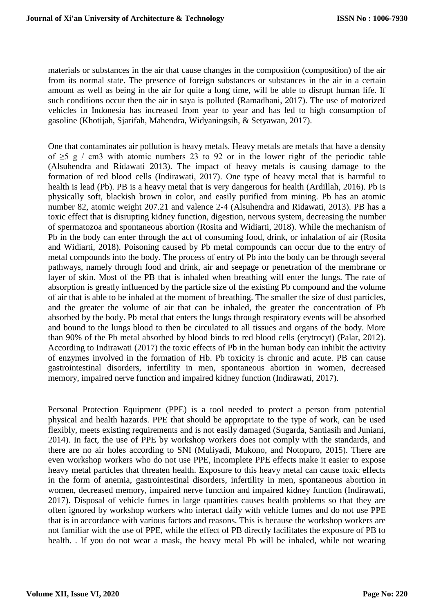materials or substances in the air that cause changes in the composition (composition) of the air from its normal state. The presence of foreign substances or substances in the air in a certain amount as well as being in the air for quite a long time, will be able to disrupt human life. If such conditions occur then the air in saya is polluted (Ramadhani, 2017). The use of motorized vehicles in Indonesia has increased from year to year and has led to high consumption of gasoline (Khotijah, Sjarifah, Mahendra, Widyaningsih, & Setyawan, 2017).

One that contaminates air pollution is heavy metals. Heavy metals are metals that have a density of  $\geq$ 5 g / cm3 with atomic numbers 23 to 92 or in the lower right of the periodic table (Alsuhendra and Ridawati 2013). The impact of heavy metals is causing damage to the formation of red blood cells (Indirawati, 2017). One type of heavy metal that is harmful to health is lead (Pb). PB is a heavy metal that is very dangerous for health (Ardillah, 2016). Pb is physically soft, blackish brown in color, and easily purified from mining. Pb has an atomic number 82, atomic weight 207.21 and valence 2-4 (Alsuhendra and Ridawati, 2013). PB has a toxic effect that is disrupting kidney function, digestion, nervous system, decreasing the number of spermatozoa and spontaneous abortion (Rosita and Widiarti, 2018). While the mechanism of Pb in the body can enter through the act of consuming food, drink, or inhalation of air (Rosita and Widiarti, 2018). Poisoning caused by Pb metal compounds can occur due to the entry of metal compounds into the body. The process of entry of Pb into the body can be through several pathways, namely through food and drink, air and seepage or penetration of the membrane or layer of skin. Most of the PB that is inhaled when breathing will enter the lungs. The rate of absorption is greatly influenced by the particle size of the existing Pb compound and the volume of air that is able to be inhaled at the moment of breathing. The smaller the size of dust particles, and the greater the volume of air that can be inhaled, the greater the concentration of Pb absorbed by the body. Pb metal that enters the lungs through respiratory events will be absorbed and bound to the lungs blood to then be circulated to all tissues and organs of the body. More than 90% of the Pb metal absorbed by blood binds to red blood cells (erytrocyt) (Palar, 2012). According to Indirawati (2017) the toxic effects of Pb in the human body can inhibit the activity of enzymes involved in the formation of Hb. Pb toxicity is chronic and acute. PB can cause gastrointestinal disorders, infertility in men, spontaneous abortion in women, decreased memory, impaired nerve function and impaired kidney function (Indirawati, 2017).

Personal Protection Equipment (PPE) is a tool needed to protect a person from potential physical and health hazards. PPE that should be appropriate to the type of work, can be used flexibly, meets existing requirements and is not easily damaged (Sugarda, Santiasih and Juniani, 2014). In fact, the use of PPE by workshop workers does not comply with the standards, and there are no air holes according to SNI (Muliyadi, Mukono, and Notopuro, 2015). There are even workshop workers who do not use PPE, incomplete PPE effects make it easier to expose heavy metal particles that threaten health. Exposure to this heavy metal can cause toxic effects in the form of anemia, gastrointestinal disorders, infertility in men, spontaneous abortion in women, decreased memory, impaired nerve function and impaired kidney function (Indirawati, 2017). Disposal of vehicle fumes in large quantities causes health problems so that they are often ignored by workshop workers who interact daily with vehicle fumes and do not use PPE that is in accordance with various factors and reasons. This is because the workshop workers are not familiar with the use of PPE, while the effect of PB directly facilitates the exposure of PB to health. . If you do not wear a mask, the heavy metal Pb will be inhaled, while not wearing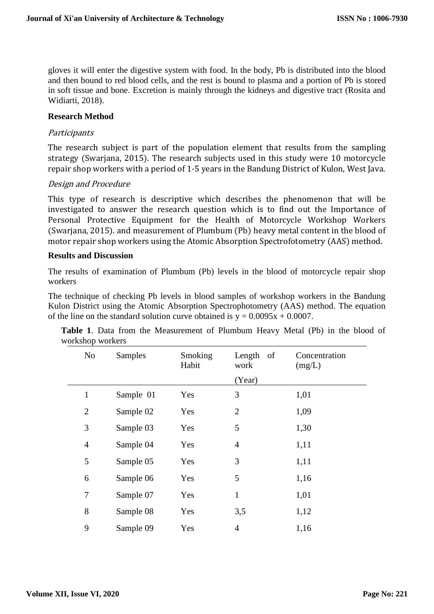gloves it will enter the digestive system with food. In the body, Pb is distributed into the blood and then bound to red blood cells, and the rest is bound to plasma and a portion of Pb is stored in soft tissue and bone. Excretion is mainly through the kidneys and digestive tract (Rosita and Widiarti, 2018).

#### **Research Method**

# **Participants**

The research subject is part of the population element that results from the sampling strategy (Swarjana, 2015). The research subjects used in this study were 10 motorcycle repair shop workers with a period of 1-5 years in the Bandung District of Kulon, West Java.

#### Design and Procedure

This type of research is descriptive which describes the phenomenon that will be investigated to answer the research question which is to find out the Importance of Personal Protective Equipment for the Health of Motorcycle Workshop Workers (Swarjana, 2015). and measurement of Plumbum (Pb) heavy metal content in the blood of motor repair shop workers using the Atomic Absorption Spectrofotometry (AAS) method.

#### **Results and Discussion**

The results of examination of Plumbum (Pb) levels in the blood of motorcycle repair shop workers

The technique of checking Pb levels in blood samples of workshop workers in the Bandung Kulon District using the Atomic Absorption Spectrophotometry (AAS) method. The equation of the line on the standard solution curve obtained is  $y = 0.0095x + 0.0007$ .

| No             | Samples   | Smoking<br>Habit | Length<br>of<br>work | Concentration<br>(mg/L) |
|----------------|-----------|------------------|----------------------|-------------------------|
|                |           |                  | (Year)               |                         |
| $\mathbf{1}$   | Sample 01 | Yes              | 3                    | 1,01                    |
| $\overline{2}$ | Sample 02 | Yes              | $\overline{2}$       | 1,09                    |
| 3              | Sample 03 | Yes              | 5                    | 1,30                    |
| $\overline{4}$ | Sample 04 | Yes              | $\overline{4}$       | 1,11                    |
| 5              | Sample 05 | Yes              | 3                    | 1,11                    |
| 6              | Sample 06 | Yes              | 5                    | 1,16                    |
| $\tau$         | Sample 07 | Yes              | $\mathbf{1}$         | 1,01                    |
| 8              | Sample 08 | Yes              | 3,5                  | 1,12                    |
| 9              | Sample 09 | Yes              | 4                    | 1,16                    |

|                  |  | <b>Table 1.</b> Data from the Measurement of Plumbum Heavy Metal (Pb) in the blood of |  |  |  |  |  |
|------------------|--|---------------------------------------------------------------------------------------|--|--|--|--|--|
| workshop workers |  |                                                                                       |  |  |  |  |  |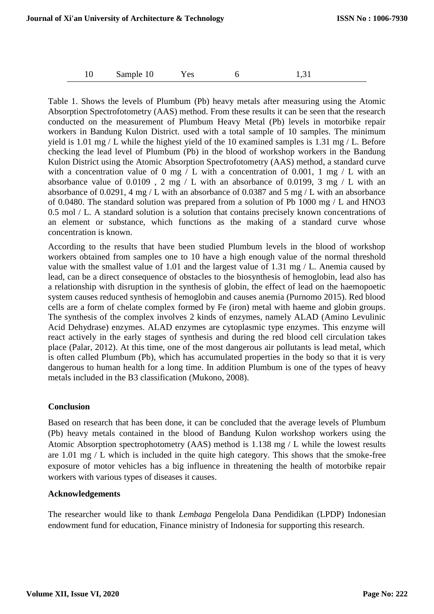|  | Sample 10 | <b>Yes</b> |  | 1,31 |  |
|--|-----------|------------|--|------|--|
|--|-----------|------------|--|------|--|

Table 1. Shows the levels of Plumbum (Pb) heavy metals after measuring using the Atomic Absorption Spectrofotometry (AAS) method. From these results it can be seen that the research conducted on the measurement of Plumbum Heavy Metal (Pb) levels in motorbike repair workers in Bandung Kulon District. used with a total sample of 10 samples. The minimum yield is 1.01 mg / L while the highest yield of the 10 examined samples is 1.31 mg / L. Before checking the lead level of Plumbum (Pb) in the blood of workshop workers in the Bandung Kulon District using the Atomic Absorption Spectrofotometry (AAS) method, a standard curve with a concentration value of 0 mg  $/ L$  with a concentration of 0.001, 1 mg  $/ L$  with an absorbance value of 0.0109 , 2 mg / L with an absorbance of 0.0199, 3 mg / L with an absorbance of 0.0291, 4 mg / L with an absorbance of 0.0387 and 5 mg / L with an absorbance of 0.0480. The standard solution was prepared from a solution of Pb 1000 mg / L and HNO3 0.5 mol / L. A standard solution is a solution that contains precisely known concentrations of an element or substance, which functions as the making of a standard curve whose concentration is known.

According to the results that have been studied Plumbum levels in the blood of workshop workers obtained from samples one to 10 have a high enough value of the normal threshold value with the smallest value of 1.01 and the largest value of 1.31 mg / L. Anemia caused by lead, can be a direct consequence of obstacles to the biosynthesis of hemoglobin, lead also has a relationship with disruption in the synthesis of globin, the effect of lead on the haemopoetic system causes reduced synthesis of hemoglobin and causes anemia (Purnomo 2015). Red blood cells are a form of chelate complex formed by Fe (iron) metal with haeme and globin groups. The synthesis of the complex involves 2 kinds of enzymes, namely ALAD (Amino Levulinic Acid Dehydrase) enzymes. ALAD enzymes are cytoplasmic type enzymes. This enzyme will react actively in the early stages of synthesis and during the red blood cell circulation takes place (Palar, 2012). At this time, one of the most dangerous air pollutants is lead metal, which is often called Plumbum (Pb), which has accumulated properties in the body so that it is very dangerous to human health for a long time. In addition Plumbum is one of the types of heavy metals included in the B3 classification (Mukono, 2008).

# **Conclusion**

Based on research that has been done, it can be concluded that the average levels of Plumbum (Pb) heavy metals contained in the blood of Bandung Kulon workshop workers using the Atomic Absorption spectrophotometry (AAS) method is 1.138 mg / L while the lowest results are 1.01 mg / L which is included in the quite high category. This shows that the smoke-free exposure of motor vehicles has a big influence in threatening the health of motorbike repair workers with various types of diseases it causes.

# **Acknowledgements**

The researcher would like to thank *Lembaga* Pengelola Dana Pendidikan (LPDP) Indonesian endowment fund for education, Finance ministry of Indonesia for supporting this research.